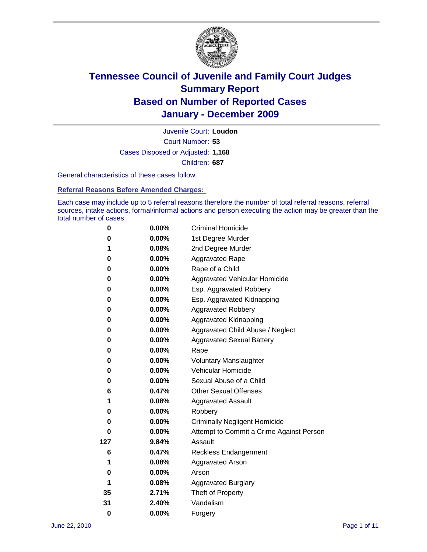

Court Number: **53** Juvenile Court: **Loudon** Cases Disposed or Adjusted: **1,168** Children: **687**

General characteristics of these cases follow:

**Referral Reasons Before Amended Charges:** 

Each case may include up to 5 referral reasons therefore the number of total referral reasons, referral sources, intake actions, formal/informal actions and person executing the action may be greater than the total number of cases.

| 0   | $0.00\%$ | <b>Criminal Homicide</b>                 |
|-----|----------|------------------------------------------|
| 0   | 0.00%    | 1st Degree Murder                        |
| 1   | 0.08%    | 2nd Degree Murder                        |
| 0   | $0.00\%$ | <b>Aggravated Rape</b>                   |
| 0   | 0.00%    | Rape of a Child                          |
| 0   | 0.00%    | Aggravated Vehicular Homicide            |
| 0   | 0.00%    | Esp. Aggravated Robbery                  |
| 0   | $0.00\%$ | Esp. Aggravated Kidnapping               |
| 0   | $0.00\%$ | <b>Aggravated Robbery</b>                |
| 0   | $0.00\%$ | Aggravated Kidnapping                    |
| 0   | 0.00%    | Aggravated Child Abuse / Neglect         |
| 0   | $0.00\%$ | <b>Aggravated Sexual Battery</b>         |
| 0   | 0.00%    | Rape                                     |
| 0   | $0.00\%$ | <b>Voluntary Manslaughter</b>            |
| 0   | 0.00%    | Vehicular Homicide                       |
| 0   | 0.00%    | Sexual Abuse of a Child                  |
| 6   | 0.47%    | <b>Other Sexual Offenses</b>             |
| 1   | 0.08%    | <b>Aggravated Assault</b>                |
| 0   | $0.00\%$ | Robbery                                  |
| 0   | 0.00%    | <b>Criminally Negligent Homicide</b>     |
| 0   | $0.00\%$ | Attempt to Commit a Crime Against Person |
| 127 | 9.84%    | Assault                                  |
| 6   | 0.47%    | <b>Reckless Endangerment</b>             |
| 1   | 0.08%    | <b>Aggravated Arson</b>                  |
| 0   | 0.00%    | Arson                                    |
| 1   | 0.08%    | <b>Aggravated Burglary</b>               |
| 35  | 2.71%    | Theft of Property                        |
| 31  | 2.40%    | Vandalism                                |
| 0   | 0.00%    | Forgery                                  |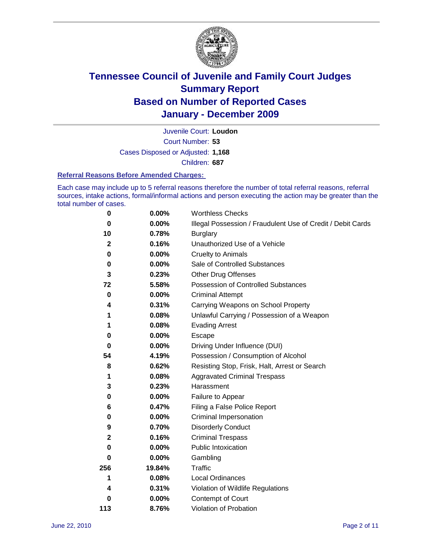

Court Number: **53** Juvenile Court: **Loudon** Cases Disposed or Adjusted: **1,168** Children: **687**

#### **Referral Reasons Before Amended Charges:**

Each case may include up to 5 referral reasons therefore the number of total referral reasons, referral sources, intake actions, formal/informal actions and person executing the action may be greater than the total number of cases.

| $\pmb{0}$    | 0.00%    | <b>Worthless Checks</b>                                     |
|--------------|----------|-------------------------------------------------------------|
| 0            | 0.00%    | Illegal Possession / Fraudulent Use of Credit / Debit Cards |
| 10           | 0.78%    | <b>Burglary</b>                                             |
| $\mathbf{2}$ | 0.16%    | Unauthorized Use of a Vehicle                               |
| 0            | $0.00\%$ | <b>Cruelty to Animals</b>                                   |
| 0            | $0.00\%$ | Sale of Controlled Substances                               |
| 3            | 0.23%    | <b>Other Drug Offenses</b>                                  |
| 72           | 5.58%    | Possession of Controlled Substances                         |
| $\mathbf 0$  | $0.00\%$ | <b>Criminal Attempt</b>                                     |
| 4            | 0.31%    | Carrying Weapons on School Property                         |
| 1            | 0.08%    | Unlawful Carrying / Possession of a Weapon                  |
| 1            | 0.08%    | <b>Evading Arrest</b>                                       |
| 0            | 0.00%    | Escape                                                      |
| 0            | $0.00\%$ | Driving Under Influence (DUI)                               |
| 54           | 4.19%    | Possession / Consumption of Alcohol                         |
| 8            | 0.62%    | Resisting Stop, Frisk, Halt, Arrest or Search               |
| 1            | 0.08%    | <b>Aggravated Criminal Trespass</b>                         |
| 3            | 0.23%    | Harassment                                                  |
| 0            | 0.00%    | Failure to Appear                                           |
| 6            | 0.47%    | Filing a False Police Report                                |
| 0            | 0.00%    | Criminal Impersonation                                      |
| 9            | 0.70%    | <b>Disorderly Conduct</b>                                   |
| $\mathbf{2}$ | 0.16%    | <b>Criminal Trespass</b>                                    |
| $\bf{0}$     | $0.00\%$ | Public Intoxication                                         |
| 0            | $0.00\%$ | Gambling                                                    |
| 256          | 19.84%   | <b>Traffic</b>                                              |
| 1            | 0.08%    | Local Ordinances                                            |
| 4            | 0.31%    | Violation of Wildlife Regulations                           |
| 0            | $0.00\%$ | Contempt of Court                                           |
| 113          | 8.76%    | Violation of Probation                                      |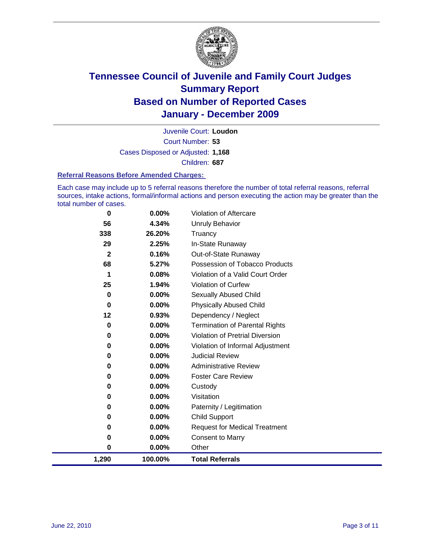

Court Number: **53** Juvenile Court: **Loudon** Cases Disposed or Adjusted: **1,168** Children: **687**

#### **Referral Reasons Before Amended Charges:**

Each case may include up to 5 referral reasons therefore the number of total referral reasons, referral sources, intake actions, formal/informal actions and person executing the action may be greater than the total number of cases.

| 0            | 0.00%    | Violation of Aftercare                 |
|--------------|----------|----------------------------------------|
| 56           | 4.34%    | Unruly Behavior                        |
| 338          | 26.20%   | Truancy                                |
| 29           | 2.25%    | In-State Runaway                       |
| $\mathbf{2}$ | 0.16%    | Out-of-State Runaway                   |
| 68           | 5.27%    | Possession of Tobacco Products         |
| 1            | 0.08%    | Violation of a Valid Court Order       |
| 25           | 1.94%    | Violation of Curfew                    |
| 0            | 0.00%    | Sexually Abused Child                  |
| 0            | 0.00%    | <b>Physically Abused Child</b>         |
| 12           | 0.93%    | Dependency / Neglect                   |
| 0            | 0.00%    | <b>Termination of Parental Rights</b>  |
| 0            | 0.00%    | <b>Violation of Pretrial Diversion</b> |
| 0            | 0.00%    | Violation of Informal Adjustment       |
| 0            | 0.00%    | <b>Judicial Review</b>                 |
| 0            | 0.00%    | <b>Administrative Review</b>           |
| 0            | $0.00\%$ | <b>Foster Care Review</b>              |
| 0            | 0.00%    | Custody                                |
| 0            | 0.00%    | Visitation                             |
| 0            | 0.00%    | Paternity / Legitimation               |
| 0            | 0.00%    | <b>Child Support</b>                   |
| 0            | 0.00%    | <b>Request for Medical Treatment</b>   |
| 0            | 0.00%    | <b>Consent to Marry</b>                |
| 0            | 0.00%    | Other                                  |
| 1,290        | 100.00%  | <b>Total Referrals</b>                 |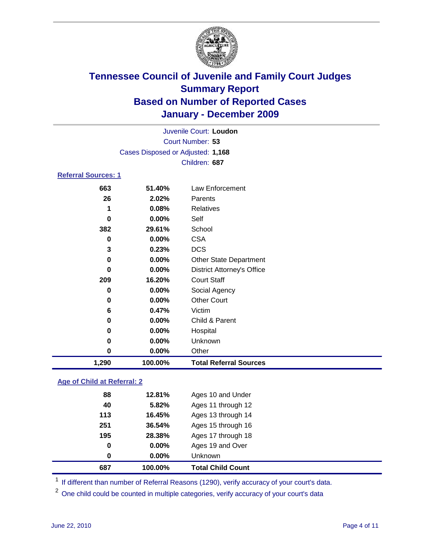

| Juvenile Court: Loudon     |                                   |                                   |  |  |
|----------------------------|-----------------------------------|-----------------------------------|--|--|
| Court Number: 53           |                                   |                                   |  |  |
|                            | Cases Disposed or Adjusted: 1,168 |                                   |  |  |
|                            |                                   | Children: 687                     |  |  |
| <b>Referral Sources: 1</b> |                                   |                                   |  |  |
| 663                        | 51.40%                            | Law Enforcement                   |  |  |
| 26                         | 2.02%                             | Parents                           |  |  |
| 1                          | 0.08%                             | <b>Relatives</b>                  |  |  |
| 0                          | 0.00%                             | Self                              |  |  |
| 382                        | 29.61%                            | School                            |  |  |
| 0                          | 0.00%                             | <b>CSA</b>                        |  |  |
| 3                          | 0.23%                             | <b>DCS</b>                        |  |  |
| $\bf{0}$                   | 0.00%                             | <b>Other State Department</b>     |  |  |
| 0                          | 0.00%                             | <b>District Attorney's Office</b> |  |  |
| 209                        | 16.20%                            | <b>Court Staff</b>                |  |  |
| 0                          | 0.00%                             | Social Agency                     |  |  |
| 0                          | 0.00%                             | <b>Other Court</b>                |  |  |
| 6                          | 0.47%                             | Victim                            |  |  |
| 0                          | 0.00%                             | Child & Parent                    |  |  |
| 0                          | 0.00%                             | Hospital                          |  |  |
| $\mathbf 0$                | 0.00%                             | Unknown                           |  |  |
| $\pmb{0}$                  | 0.00%                             | Other                             |  |  |
| 1,290                      | 100.00%                           | <b>Total Referral Sources</b>     |  |  |

### **Age of Child at Referral: 2**

| 0   | $0.00\%$<br>0.00% | Ages 19 and Over<br><b>Unknown</b> |  |
|-----|-------------------|------------------------------------|--|
|     |                   |                                    |  |
| 0   |                   |                                    |  |
| 195 | 28.38%            | Ages 17 through 18                 |  |
| 251 | 36.54%            | Ages 15 through 16                 |  |
| 113 | 16.45%            | Ages 13 through 14                 |  |
| 40  | 5.82%             | Ages 11 through 12                 |  |
| 88  | 12.81%            | Ages 10 and Under                  |  |
|     |                   |                                    |  |

<sup>1</sup> If different than number of Referral Reasons (1290), verify accuracy of your court's data.

<sup>2</sup> One child could be counted in multiple categories, verify accuracy of your court's data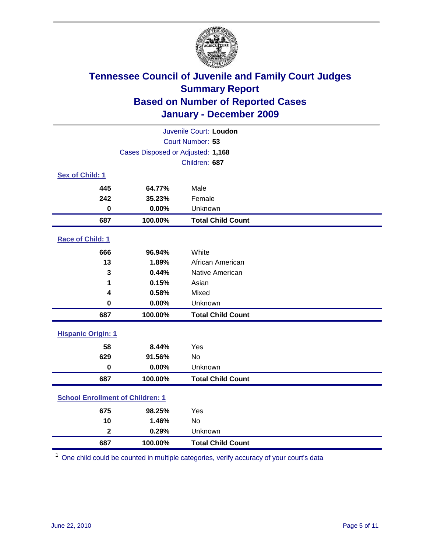

| Juvenile Court: Loudon                  |                                   |                          |  |  |
|-----------------------------------------|-----------------------------------|--------------------------|--|--|
|                                         | Court Number: 53                  |                          |  |  |
|                                         | Cases Disposed or Adjusted: 1,168 |                          |  |  |
|                                         |                                   | Children: 687            |  |  |
| Sex of Child: 1                         |                                   |                          |  |  |
| 445                                     | 64.77%                            | Male                     |  |  |
| 242                                     | 35.23%                            | Female                   |  |  |
| $\bf{0}$                                | 0.00%                             | Unknown                  |  |  |
| 687                                     | 100.00%                           | <b>Total Child Count</b> |  |  |
| Race of Child: 1                        |                                   |                          |  |  |
| 666                                     | 96.94%                            | White                    |  |  |
| 13                                      | 1.89%                             | African American         |  |  |
| 3                                       | 0.44%                             | Native American          |  |  |
| 1                                       | 0.15%                             | Asian                    |  |  |
| 4                                       | 0.58%                             | Mixed                    |  |  |
| $\mathbf 0$                             | 0.00%                             | Unknown                  |  |  |
| 687                                     | 100.00%                           | <b>Total Child Count</b> |  |  |
| <b>Hispanic Origin: 1</b>               |                                   |                          |  |  |
| 58                                      | 8.44%                             | Yes                      |  |  |
| 629                                     | 91.56%                            | <b>No</b>                |  |  |
| $\mathbf 0$                             | 0.00%                             | Unknown                  |  |  |
| 687                                     | 100.00%                           | <b>Total Child Count</b> |  |  |
| <b>School Enrollment of Children: 1</b> |                                   |                          |  |  |
| 675                                     | 98.25%                            | Yes                      |  |  |
| 10                                      | 1.46%                             | No                       |  |  |
| $\overline{\mathbf{2}}$                 | 0.29%                             | Unknown                  |  |  |
| 687                                     | 100.00%                           | <b>Total Child Count</b> |  |  |

One child could be counted in multiple categories, verify accuracy of your court's data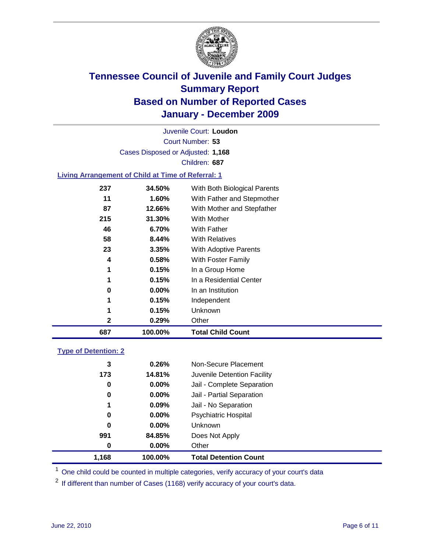

Court Number: **53** Juvenile Court: **Loudon** Cases Disposed or Adjusted: **1,168** Children: **687**

### **Living Arrangement of Child at Time of Referral: 1**

| 687 | 100.00%  | <b>Total Child Count</b>     |
|-----|----------|------------------------------|
| 2   | 0.29%    | Other                        |
| 1   | 0.15%    | Unknown                      |
| 1   | 0.15%    | Independent                  |
| 0   | $0.00\%$ | In an Institution            |
| 1   | 0.15%    | In a Residential Center      |
| 1   | 0.15%    | In a Group Home              |
| 4   | 0.58%    | With Foster Family           |
| 23  | 3.35%    | With Adoptive Parents        |
| 58  | 8.44%    | <b>With Relatives</b>        |
| 46  | 6.70%    | <b>With Father</b>           |
| 215 | 31.30%   | With Mother                  |
| 87  | 12.66%   | With Mother and Stepfather   |
| 11  | $1.60\%$ | With Father and Stepmother   |
| 237 | 34.50%   | With Both Biological Parents |
|     |          |                              |

#### **Type of Detention: 2**

| 1.168 | 100.00%  | <b>Total Detention Count</b> |
|-------|----------|------------------------------|
| 0     | $0.00\%$ | Other                        |
| 991   | 84.85%   | Does Not Apply               |
| 0     | $0.00\%$ | Unknown                      |
| 0     | $0.00\%$ | <b>Psychiatric Hospital</b>  |
| 1     | 0.09%    | Jail - No Separation         |
| 0     | $0.00\%$ | Jail - Partial Separation    |
| 0     | 0.00%    | Jail - Complete Separation   |
| 173   | 14.81%   | Juvenile Detention Facility  |
| 3     | 0.26%    | Non-Secure Placement         |
|       |          |                              |

<sup>1</sup> One child could be counted in multiple categories, verify accuracy of your court's data

<sup>2</sup> If different than number of Cases (1168) verify accuracy of your court's data.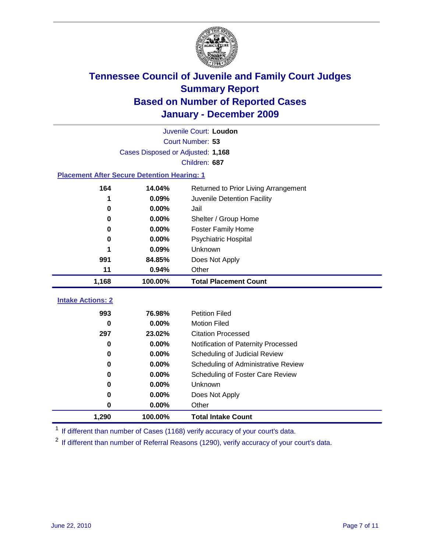

|                                                    | Juvenile Court: Loudon            |                                      |  |  |  |
|----------------------------------------------------|-----------------------------------|--------------------------------------|--|--|--|
|                                                    | Court Number: 53                  |                                      |  |  |  |
|                                                    | Cases Disposed or Adjusted: 1,168 |                                      |  |  |  |
|                                                    |                                   | Children: 687                        |  |  |  |
| <b>Placement After Secure Detention Hearing: 1</b> |                                   |                                      |  |  |  |
| 164                                                | 14.04%                            | Returned to Prior Living Arrangement |  |  |  |
| 1                                                  | 0.09%                             | Juvenile Detention Facility          |  |  |  |
| 0                                                  | 0.00%                             | Jail                                 |  |  |  |
| 0                                                  | $0.00\%$                          | Shelter / Group Home                 |  |  |  |
| 0                                                  | 0.00%                             | <b>Foster Family Home</b>            |  |  |  |
| 0                                                  | 0.00%                             | Psychiatric Hospital                 |  |  |  |
|                                                    | 0.09%                             | Unknown                              |  |  |  |
| 991                                                | 84.85%                            | Does Not Apply                       |  |  |  |
| 11                                                 | 0.94%                             | Other                                |  |  |  |
| 1,168                                              | 100.00%                           | <b>Total Placement Count</b>         |  |  |  |
|                                                    |                                   |                                      |  |  |  |
| <b>Intake Actions: 2</b>                           |                                   |                                      |  |  |  |
| 993                                                | 76.98%                            | <b>Petition Filed</b>                |  |  |  |
| 0                                                  | 0.00%                             | <b>Motion Filed</b>                  |  |  |  |
| 297                                                | 23.02%                            | <b>Citation Processed</b>            |  |  |  |
| 0                                                  | 0.00%                             | Notification of Paternity Processed  |  |  |  |
| 0                                                  | $0.00\%$                          | Scheduling of Judicial Review        |  |  |  |
| 0                                                  | 0.00%                             | Scheduling of Administrative Review  |  |  |  |
| 0                                                  | 0.00%                             | Scheduling of Foster Care Review     |  |  |  |
| 0                                                  | 0.00%                             | Unknown                              |  |  |  |
| 0                                                  | 0.00%                             | Does Not Apply                       |  |  |  |
| 0                                                  | 0.00%                             | Other                                |  |  |  |
| 1,290                                              | 100.00%                           | <b>Total Intake Count</b>            |  |  |  |

<sup>1</sup> If different than number of Cases (1168) verify accuracy of your court's data.

<sup>2</sup> If different than number of Referral Reasons (1290), verify accuracy of your court's data.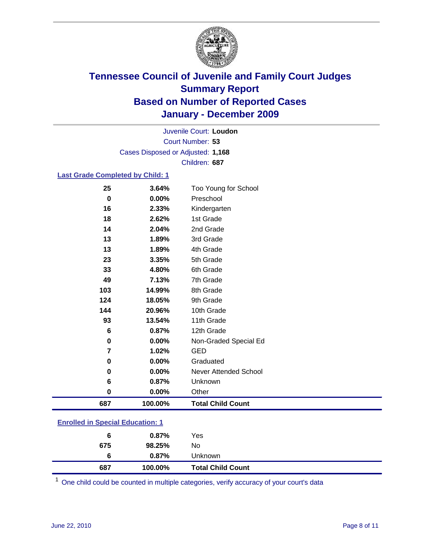

Court Number: **53** Juvenile Court: **Loudon** Cases Disposed or Adjusted: **1,168** Children: **687**

#### **Last Grade Completed by Child: 1**

| 687 | 100.00% | <b>Total Child Count</b>     |
|-----|---------|------------------------------|
| 0   | 0.00%   | Other                        |
| 6   | 0.87%   | Unknown                      |
| 0   | 0.00%   | <b>Never Attended School</b> |
| 0   | 0.00%   | Graduated                    |
| 7   | 1.02%   | <b>GED</b>                   |
| 0   | 0.00%   | Non-Graded Special Ed        |
| 6   | 0.87%   | 12th Grade                   |
| 93  | 13.54%  | 11th Grade                   |
| 144 | 20.96%  | 10th Grade                   |
| 124 | 18.05%  | 9th Grade                    |
| 103 | 14.99%  | 8th Grade                    |
| 49  | 7.13%   | 7th Grade                    |
| 33  | 4.80%   | 6th Grade                    |
| 23  | 3.35%   | 5th Grade                    |
| 13  | 1.89%   | 4th Grade                    |
| 13  | 1.89%   | 3rd Grade                    |
| 14  | 2.04%   | 2nd Grade                    |
| 18  | 2.62%   | 1st Grade                    |
| 16  | 2.33%   | Kindergarten                 |
| 0   | 0.00%   | Preschool                    |
| 25  | 3.64%   | Too Young for School         |

### **Enrolled in Special Education: 1**

| 687 | 100.00%  | <b>Total Child Count</b> |  |
|-----|----------|--------------------------|--|
| 6   | $0.87\%$ | Unknown                  |  |
| 675 | 98.25%   | No                       |  |
| 6   | $0.87\%$ | Yes                      |  |
|     |          |                          |  |

One child could be counted in multiple categories, verify accuracy of your court's data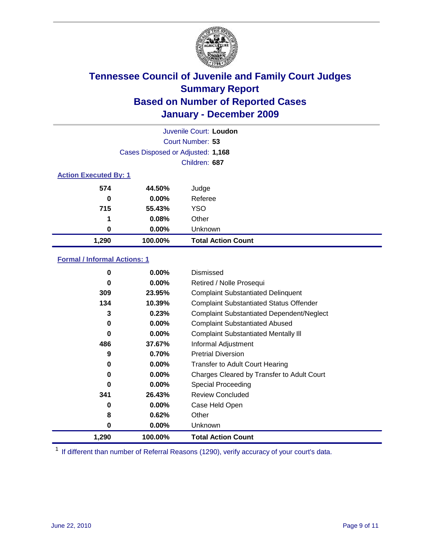

| Juvenile Court: Loudon       |                                   |                           |  |  |
|------------------------------|-----------------------------------|---------------------------|--|--|
|                              | Court Number: 53                  |                           |  |  |
|                              | Cases Disposed or Adjusted: 1,168 |                           |  |  |
|                              | Children: 687                     |                           |  |  |
| <b>Action Executed By: 1</b> |                                   |                           |  |  |
| 574                          | 44.50%                            | Judge                     |  |  |
| 0                            | 0.00%                             | Referee                   |  |  |
| 715                          | 55.43%                            | <b>YSO</b>                |  |  |
| 1                            | 0.08%                             | Other                     |  |  |
| 0                            | 0.00%                             | Unknown                   |  |  |
| 1,290                        | 100.00%                           | <b>Total Action Count</b> |  |  |

### **Formal / Informal Actions: 1**

| 0        | $0.00\%$ | Dismissed                                        |
|----------|----------|--------------------------------------------------|
| 0        | $0.00\%$ | Retired / Nolle Prosequi                         |
| 309      | 23.95%   | <b>Complaint Substantiated Delinquent</b>        |
| 134      | 10.39%   | <b>Complaint Substantiated Status Offender</b>   |
| 3        | 0.23%    | <b>Complaint Substantiated Dependent/Neglect</b> |
| 0        | $0.00\%$ | <b>Complaint Substantiated Abused</b>            |
| $\bf{0}$ | $0.00\%$ | <b>Complaint Substantiated Mentally III</b>      |
| 486      | 37.67%   | Informal Adjustment                              |
| 9        | 0.70%    | <b>Pretrial Diversion</b>                        |
| 0        | $0.00\%$ | <b>Transfer to Adult Court Hearing</b>           |
| 0        | $0.00\%$ | Charges Cleared by Transfer to Adult Court       |
| 0        | $0.00\%$ | Special Proceeding                               |
| 341      | 26.43%   | <b>Review Concluded</b>                          |
| 0        | $0.00\%$ | Case Held Open                                   |
| 8        | 0.62%    | Other                                            |
| 0        | $0.00\%$ | Unknown                                          |
| 1,290    | 100.00%  | <b>Total Action Count</b>                        |

<sup>1</sup> If different than number of Referral Reasons (1290), verify accuracy of your court's data.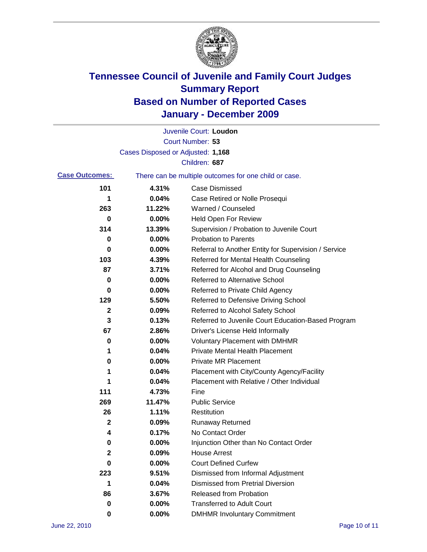

|                       |                                   | Juvenile Court: Loudon                                |
|-----------------------|-----------------------------------|-------------------------------------------------------|
|                       |                                   | Court Number: 53                                      |
|                       | Cases Disposed or Adjusted: 1,168 |                                                       |
|                       |                                   | Children: 687                                         |
| <b>Case Outcomes:</b> |                                   | There can be multiple outcomes for one child or case. |
| 101                   | 4.31%                             | <b>Case Dismissed</b>                                 |
| 1                     | 0.04%                             | Case Retired or Nolle Prosequi                        |
| 263                   | 11.22%                            | Warned / Counseled                                    |
| 0                     | 0.00%                             | <b>Held Open For Review</b>                           |
| 314                   | 13.39%                            | Supervision / Probation to Juvenile Court             |
| 0                     | 0.00%                             | <b>Probation to Parents</b>                           |
| 0                     | 0.00%                             | Referral to Another Entity for Supervision / Service  |
| 103                   | 4.39%                             | Referred for Mental Health Counseling                 |
| 87                    | 3.71%                             | Referred for Alcohol and Drug Counseling              |
| 0                     | 0.00%                             | <b>Referred to Alternative School</b>                 |
| 0                     | 0.00%                             | Referred to Private Child Agency                      |
| 129                   | 5.50%                             | Referred to Defensive Driving School                  |
| 2                     | 0.09%                             | Referred to Alcohol Safety School                     |
| 3                     | 0.13%                             | Referred to Juvenile Court Education-Based Program    |
| 67                    | 2.86%                             | Driver's License Held Informally                      |
| 0                     | 0.00%                             | <b>Voluntary Placement with DMHMR</b>                 |
| 1                     | 0.04%                             | <b>Private Mental Health Placement</b>                |
| 0                     | 0.00%                             | <b>Private MR Placement</b>                           |
| 1                     | 0.04%                             | Placement with City/County Agency/Facility            |
| 1                     | 0.04%                             | Placement with Relative / Other Individual            |
| 111                   | 4.73%                             | Fine                                                  |
| 269                   | 11.47%                            | <b>Public Service</b>                                 |
| 26                    | 1.11%                             | Restitution                                           |
| 2                     | 0.09%                             | <b>Runaway Returned</b>                               |
| 4                     | 0.17%                             | No Contact Order                                      |
| 0                     | 0.00%                             | Injunction Other than No Contact Order                |
| $\mathbf 2$           | 0.09%                             | <b>House Arrest</b>                                   |
| 0                     | 0.00%                             | <b>Court Defined Curfew</b>                           |
| 223                   | 9.51%                             | Dismissed from Informal Adjustment                    |
| 1                     | 0.04%                             | <b>Dismissed from Pretrial Diversion</b>              |
| 86                    | 3.67%                             | Released from Probation                               |
| 0                     | 0.00%                             | <b>Transferred to Adult Court</b>                     |
| 0                     | $0.00\%$                          | <b>DMHMR Involuntary Commitment</b>                   |